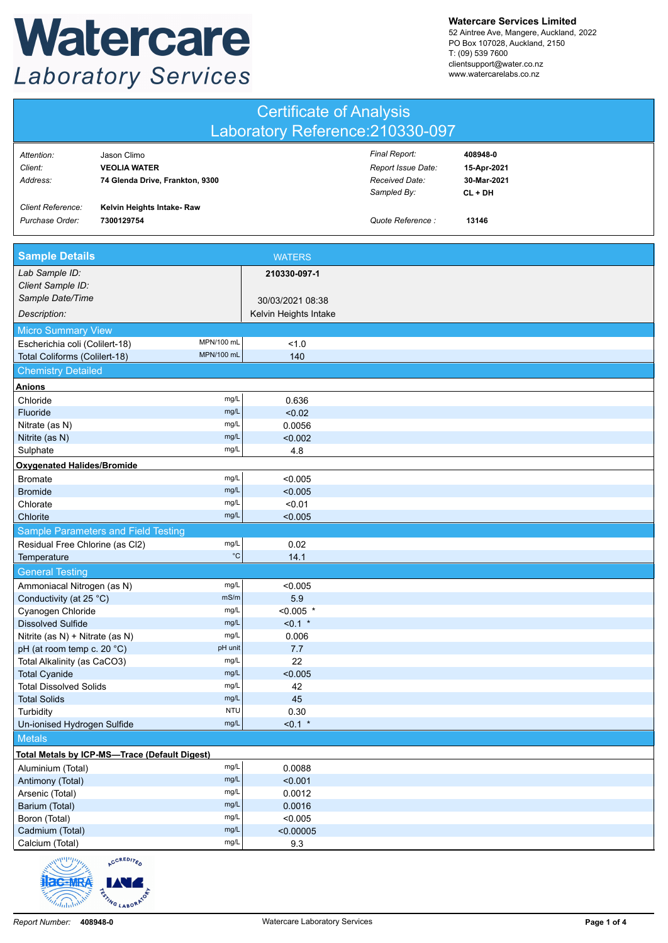## Watercare **Laboratory Services**

**Watercare Services Limited**

52 Aintree Ave, Mangere, Auckland, 2022 PO Box 107028, Auckland, 2150 T: (09) 539 7600 clientsupport@water.co.nz www.watercarelabs.co.nz

| <b>Certificate of Analysis</b>   |  |
|----------------------------------|--|
| Laboratory Reference: 210330-097 |  |

| Attention:               | Jason Climo                     | Final Report:      | 408948-0    |
|--------------------------|---------------------------------|--------------------|-------------|
| Client:                  | <b>VEOLIA WATER</b>             | Report Issue Date: | 15-Apr-2021 |
| Address:                 | 74 Glenda Drive, Frankton, 9300 | Received Date:     | 30-Mar-2021 |
|                          |                                 | Sampled By:        | CL + DH     |
| <b>Client Reference:</b> | Kelvin Heights Intake- Raw      |                    |             |
| Purchase Order:          | 7300129754                      | Quote Reference:   | 13146       |
|                          |                                 |                    |             |

| <b>Sample Details</b>                                |              | <b>WATERS</b>         |  |
|------------------------------------------------------|--------------|-----------------------|--|
| Lab Sample ID:                                       |              | 210330-097-1          |  |
| Client Sample ID:                                    |              |                       |  |
| Sample Date/Time                                     |              | 30/03/2021 08:38      |  |
| Description:                                         |              | Kelvin Heights Intake |  |
| <b>Micro Summary View</b>                            |              |                       |  |
| Escherichia coli (Colilert-18)                       | MPN/100 mL   | 1.0                   |  |
| Total Coliforms (Colilert-18)                        | MPN/100 mL   | 140                   |  |
| <b>Chemistry Detailed</b>                            |              |                       |  |
| <b>Anions</b>                                        |              |                       |  |
| Chloride                                             | mg/L         | 0.636                 |  |
| Fluoride                                             | mg/L         | < 0.02                |  |
| Nitrate (as N)                                       | mg/L         | 0.0056                |  |
| Nitrite (as N)                                       | mg/L         | < 0.002               |  |
| Sulphate                                             | mg/L         | 4.8                   |  |
| <b>Oxygenated Halides/Bromide</b>                    |              |                       |  |
| <b>Bromate</b>                                       | mg/L         | < 0.005               |  |
| <b>Bromide</b>                                       | mg/L         | < 0.005               |  |
| Chlorate                                             | mg/L         | < 0.01                |  |
| Chlorite                                             | mg/L         | < 0.005               |  |
| Sample Parameters and Field Testing                  |              |                       |  |
| Residual Free Chlorine (as Cl2)                      | mg/L         | 0.02                  |  |
| Temperature                                          | $^{\circ}C$  | 14.1                  |  |
| <b>General Testing</b>                               |              |                       |  |
| Ammoniacal Nitrogen (as N)                           | mg/L         | < 0.005               |  |
| Conductivity (at 25 °C)                              | mS/m         | 5.9                   |  |
| Cyanogen Chloride                                    | mg/L         | $< 0.005$ *           |  |
| <b>Dissolved Sulfide</b>                             | mg/L         | $< 0.1$ *             |  |
| Nitrite (as N) + Nitrate (as N)                      | mg/L         | 0.006                 |  |
| pH (at room temp c. 20 °C)                           | pH unit      | 7.7                   |  |
| Total Alkalinity (as CaCO3)                          | mg/L         | 22                    |  |
| <b>Total Cyanide</b>                                 | mg/L<br>mg/L | < 0.005               |  |
| <b>Total Dissolved Solids</b><br><b>Total Solids</b> | mg/L         | 42<br>45              |  |
| Turbidity                                            | <b>NTU</b>   | 0.30                  |  |
| Un-ionised Hydrogen Sulfide                          | mg/L         | $< 0.1$ *             |  |
| <b>Metals</b>                                        |              |                       |  |
| Total Metals by ICP-MS-Trace (Default Digest)        |              |                       |  |
| Aluminium (Total)                                    | mg/L         | 0.0088                |  |
| Antimony (Total)                                     | mg/L         | < 0.001               |  |
| Arsenic (Total)                                      | mg/L         | 0.0012                |  |
| Barium (Total)                                       | mg/L         | 0.0016                |  |
| Boron (Total)                                        | mg/L         | < 0.005               |  |
| Cadmium (Total)                                      | mg/L         | < 0.00005             |  |
| Calcium (Total)                                      | mg/L         | 9.3                   |  |

ACCREDITED

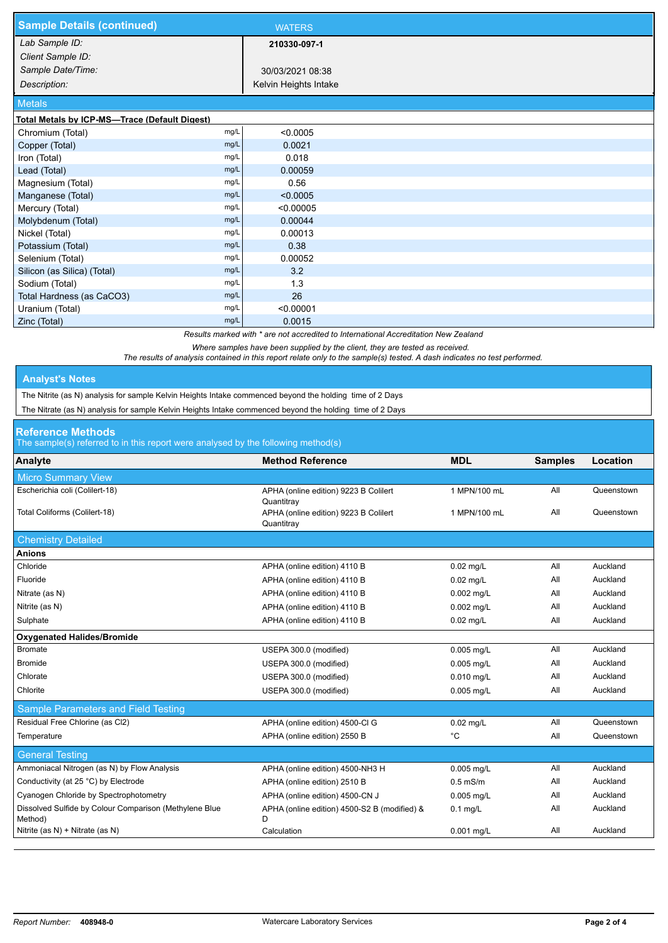| <b>Sample Details (continued)</b>             |      | <b>WATERS</b>         |  |
|-----------------------------------------------|------|-----------------------|--|
| Lab Sample ID:                                |      | 210330-097-1          |  |
| Client Sample ID:                             |      |                       |  |
| Sample Date/Time:                             |      | 30/03/2021 08:38      |  |
| Description:                                  |      | Kelvin Heights Intake |  |
| <b>Metals</b>                                 |      |                       |  |
| Total Metals by ICP-MS-Trace (Default Digest) |      |                       |  |
| Chromium (Total)                              | mg/L | < 0.0005              |  |
| Copper (Total)                                | mg/L | 0.0021                |  |
| Iron (Total)                                  | mg/L | 0.018                 |  |
| Lead (Total)                                  | mg/L | 0.00059               |  |
| Magnesium (Total)                             | mg/L | 0.56                  |  |
| Manganese (Total)                             | mg/L | < 0.0005              |  |
| Mercury (Total)                               | mg/L | < 0.00005             |  |
| Molybdenum (Total)                            | mg/L | 0.00044               |  |
| Nickel (Total)                                | mg/L | 0.00013               |  |
| Potassium (Total)                             | mg/L | 0.38                  |  |
| Selenium (Total)                              | mg/L | 0.00052               |  |
| Silicon (as Silica) (Total)                   | mg/L | 3.2                   |  |
| Sodium (Total)                                | mg/L | 1.3                   |  |
| Total Hardness (as CaCO3)                     | mg/L | 26                    |  |
| Uranium (Total)                               | mg/L | < 0.00001             |  |
| Zinc (Total)                                  | mg/L | 0.0015                |  |

*Results marked with \* are not accredited to International Accreditation New Zealand*

*Where samples have been supplied by the client, they are tested as received.* 

*The results of analysis contained in this report relate only to the sample(s) tested. A dash indicates no test performed.*

## **Analyst's Notes**

The Nitrite (as N) analysis for sample Kelvin Heights Intake commenced beyond the holding time of 2 Days

The Nitrate (as N) analysis for sample Kelvin Heights Intake commenced beyond the holding time of 2 Days

## **Reference Methods**

The sample(s) referred to in this report were analysed by the following method(s)

| Analyte                                                           | <b>Method Reference</b>                             | <b>MDL</b>   | <b>Samples</b> | Location   |
|-------------------------------------------------------------------|-----------------------------------------------------|--------------|----------------|------------|
| <b>Micro Summary View</b>                                         |                                                     |              |                |            |
| Escherichia coli (Colilert-18)                                    | APHA (online edition) 9223 B Colilert<br>Quantitray | 1 MPN/100 mL | All            | Queenstown |
| Total Coliforms (Colilert-18)                                     | APHA (online edition) 9223 B Colilert<br>Quantitray | 1 MPN/100 mL | All            | Queenstown |
| <b>Chemistry Detailed</b>                                         |                                                     |              |                |            |
| <b>Anions</b>                                                     |                                                     |              |                |            |
| Chloride                                                          | APHA (online edition) 4110 B                        | $0.02$ mg/L  | All            | Auckland   |
| Fluoride                                                          | APHA (online edition) 4110 B                        | $0.02$ mg/L  | All            | Auckland   |
| Nitrate (as N)                                                    | APHA (online edition) 4110 B                        | 0.002 mg/L   | All            | Auckland   |
| Nitrite (as N)                                                    | APHA (online edition) 4110 B                        | 0.002 mg/L   | All            | Auckland   |
| Sulphate                                                          | APHA (online edition) 4110 B                        | $0.02$ mg/L  | All            | Auckland   |
| <b>Oxygenated Halides/Bromide</b>                                 |                                                     |              |                |            |
| <b>Bromate</b>                                                    | USEPA 300.0 (modified)                              | 0.005 mg/L   | All            | Auckland   |
| <b>Bromide</b>                                                    | USEPA 300.0 (modified)                              | 0.005 mg/L   | All            | Auckland   |
| Chlorate                                                          | USEPA 300.0 (modified)                              | 0.010 mg/L   | All            | Auckland   |
| Chlorite                                                          | USEPA 300.0 (modified)                              | 0.005 mg/L   | All            | Auckland   |
| Sample Parameters and Field Testing                               |                                                     |              |                |            |
| Residual Free Chlorine (as Cl2)                                   | APHA (online edition) 4500-Cl G                     | $0.02$ mg/L  | All            | Queenstown |
| Temperature                                                       | APHA (online edition) 2550 B                        | °C           | All            | Queenstown |
| <b>General Testing</b>                                            |                                                     |              |                |            |
| Ammoniacal Nitrogen (as N) by Flow Analysis                       | APHA (online edition) 4500-NH3 H                    | $0.005$ mg/L | All            | Auckland   |
| Conductivity (at 25 °C) by Electrode                              | APHA (online edition) 2510 B                        | $0.5$ mS/m   | All            | Auckland   |
| Cyanogen Chloride by Spectrophotometry                            | APHA (online edition) 4500-CN J                     | 0.005 mg/L   | All            | Auckland   |
| Dissolved Sulfide by Colour Comparison (Methylene Blue<br>Method) | APHA (online edition) 4500-S2 B (modified) &<br>D   | $0.1$ mg/L   | All            | Auckland   |
| Nitrite (as N) + Nitrate (as N)                                   | Calculation                                         | 0.001 mg/L   | All            | Auckland   |
|                                                                   |                                                     |              |                |            |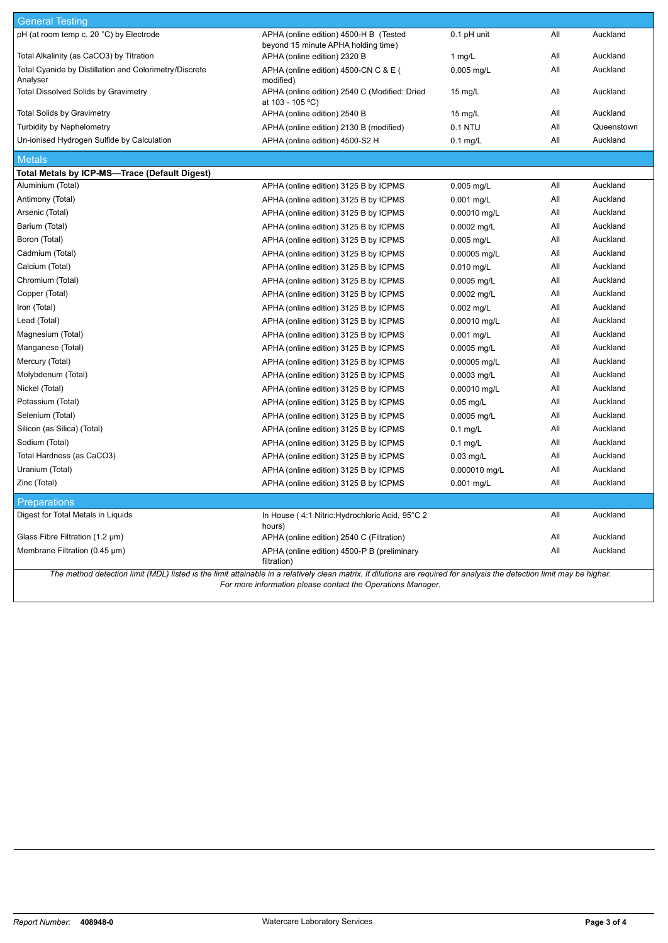| <b>General Testing</b>                                             |                                                                               |                   |     |            |
|--------------------------------------------------------------------|-------------------------------------------------------------------------------|-------------------|-----|------------|
| pH (at room temp c. 20 °C) by Electrode                            | APHA (online edition) 4500-H B (Tested<br>beyond 15 minute APHA holding time) | $0.1$ pH unit     | All | Auckland   |
| Total Alkalinity (as CaCO3) by Titration                           | APHA (online edition) 2320 B                                                  | 1 $mg/L$          | All | Auckland   |
| Total Cyanide by Distillation and Colorimetry/Discrete<br>Analyser | APHA (online edition) 4500-CN C & E (<br>modified)                            | 0.005 mg/L        | All | Auckland   |
| <b>Total Dissolved Solids by Gravimetry</b>                        | APHA (online edition) 2540 C (Modified: Dried<br>at 103 - 105 °C)             | $15 \text{ mq/L}$ | All | Auckland   |
| <b>Total Solids by Gravimetry</b>                                  | APHA (online edition) 2540 B                                                  | 15 mg/L           | All | Auckland   |
| <b>Turbidity by Nephelometry</b>                                   | APHA (online edition) 2130 B (modified)                                       | 0.1 NTU           | All | Queenstown |
| Un-ionised Hydrogen Sulfide by Calculation                         | APHA (online edition) 4500-S2 H                                               | $0.1$ mg/L        | All | Auckland   |
| <b>Metals</b>                                                      |                                                                               |                   |     |            |
| Total Metals by ICP-MS-Trace (Default Digest)                      |                                                                               |                   |     |            |
| Aluminium (Total)                                                  | APHA (online edition) 3125 B by ICPMS                                         | 0.005 mg/L        | All | Auckland   |
| Antimony (Total)                                                   | APHA (online edition) 3125 B by ICPMS                                         | $0.001$ mg/L      | All | Auckland   |
| Arsenic (Total)                                                    | APHA (online edition) 3125 B by ICPMS                                         | 0.00010 mg/L      | All | Auckland   |
| Barium (Total)                                                     | APHA (online edition) 3125 B by ICPMS                                         | 0.0002 mg/L       | All | Auckland   |
| Boron (Total)                                                      | APHA (online edition) 3125 B by ICPMS                                         | $0.005$ mg/L      | All | Auckland   |
| Cadmium (Total)                                                    | APHA (online edition) 3125 B by ICPMS                                         | 0.00005 mg/L      | All | Auckland   |
| Calcium (Total)                                                    | APHA (online edition) 3125 B by ICPMS                                         | 0.010 mg/L        | All | Auckland   |
| Chromium (Total)                                                   | APHA (online edition) 3125 B by ICPMS                                         | 0.0005 mg/L       | All | Auckland   |
| Copper (Total)                                                     | APHA (online edition) 3125 B by ICPMS                                         | 0.0002 mg/L       | All | Auckland   |
| Iron (Total)                                                       | APHA (online edition) 3125 B by ICPMS                                         | $0.002$ mg/L      | All | Auckland   |
| Lead (Total)                                                       | APHA (online edition) 3125 B by ICPMS                                         | 0.00010 mg/L      | All | Auckland   |
| Magnesium (Total)                                                  | APHA (online edition) 3125 B by ICPMS                                         | $0.001$ mg/L      | All | Auckland   |
| Manganese (Total)                                                  | APHA (online edition) 3125 B by ICPMS                                         | 0.0005 mg/L       | All | Auckland   |
| Mercury (Total)                                                    | APHA (online edition) 3125 B by ICPMS                                         | 0.00005 mg/L      | All | Auckland   |
| Molybdenum (Total)                                                 | APHA (online edition) 3125 B by ICPMS                                         | 0.0003 mg/L       | All | Auckland   |
| Nickel (Total)                                                     | APHA (online edition) 3125 B by ICPMS                                         | 0.00010 mg/L      | All | Auckland   |
| Potassium (Total)                                                  | APHA (online edition) 3125 B by ICPMS                                         | $0.05$ mg/L       | All | Auckland   |
| Selenium (Total)                                                   | APHA (online edition) 3125 B by ICPMS                                         | 0.0005 mg/L       | All | Auckland   |
| Silicon (as Silica) (Total)                                        | APHA (online edition) 3125 B by ICPMS                                         | $0.1$ mg/L        | All | Auckland   |
| Sodium (Total)                                                     | APHA (online edition) 3125 B by ICPMS                                         | $0.1$ mg/L        | All | Auckland   |
| Total Hardness (as CaCO3)                                          | APHA (online edition) 3125 B by ICPMS                                         | $0.03$ mg/L       | All | Auckland   |
| Uranium (Total)                                                    | APHA (online edition) 3125 B by ICPMS                                         | 0.000010 mg/L     | All | Auckland   |
| Zinc (Total)                                                       | APHA (online edition) 3125 B by ICPMS                                         | 0.001 mg/L        | All | Auckland   |
| <b>Preparations</b>                                                |                                                                               |                   |     |            |
| Digest for Total Metals in Liquids                                 | In House (4:1 Nitric: Hydrochloric Acid, 95°C 2<br>hours)                     |                   | All | Auckland   |
| Glass Fibre Filtration (1.2 µm)                                    | APHA (online edition) 2540 C (Filtration)                                     |                   | All | Auckland   |
| Membrane Filtration (0.45 µm)                                      | APHA (online edition) 4500-P B (preliminary<br>filtration)                    |                   | All | Auckland   |

*The method detection limit (MDL) listed is the limit attainable in a relatively clean matrix. If dilutions are required for analysis the detection limit may be higher. For more information please contact the Operations Manager.*